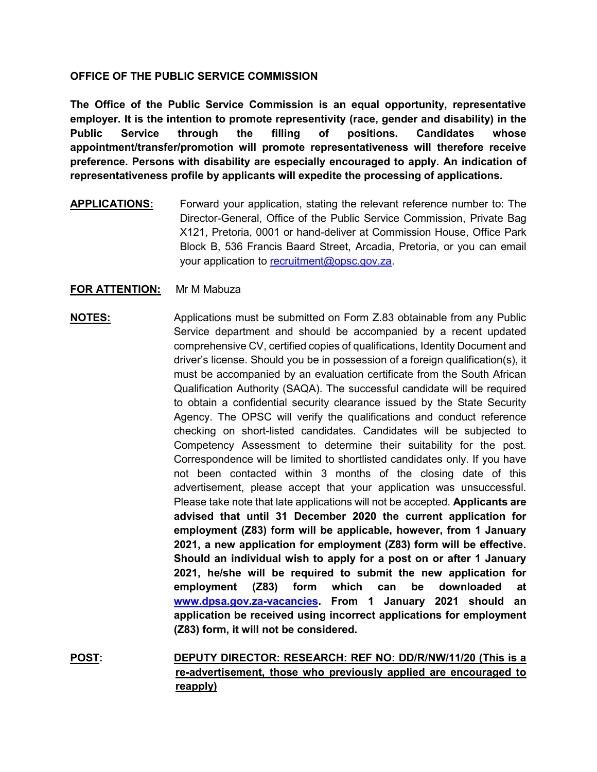### **OFFICE OF THE PUBLIC SERVICE COMMISSION**

**The Office of the Public Service Commission is an equal opportunity, representative employer. It is the intention to promote representivity (race, gender and disability) in the Public Service through the filling of positions. Candidates whose appointment/transfer/promotion will promote representativeness will therefore receive preference. Persons with disability are especially encouraged to apply. An indication of representativeness profile by applicants will expedite the processing of applications.**

**APPLICATIONS:** Forward your application, stating the relevant reference number to: The Director-General, Office of the Public Service Commission, Private Bag X121, Pretoria, 0001 or hand-deliver at Commission House, Office Park Block B, 536 Francis Baard Street, Arcadia, Pretoria, or you can email your application to [recruitment@opsc.gov.za.](mailto:recruitment@opsc.gov.za)

## **FOR ATTENTION:** Mr M Mabuza

## **NOTES:** Applications must be submitted on Form Z.83 obtainable from any Public Service department and should be accompanied by a recent updated comprehensive CV, certified copies of qualifications, Identity Document and driver's license. Should you be in possession of a foreign qualification(s), it must be accompanied by an evaluation certificate from the South African Qualification Authority (SAQA). The successful candidate will be required to obtain a confidential security clearance issued by the State Security Agency. The OPSC will verify the qualifications and conduct reference checking on short-listed candidates. Candidates will be subjected to Competency Assessment to determine their suitability for the post. Correspondence will be limited to shortlisted candidates only. If you have not been contacted within 3 months of the closing date of this advertisement, please accept that your application was unsuccessful. Please take note that late applications will not be accepted. **Applicants are advised that until 31 December 2020 the current application for employment (Z83) form will be applicable, however, from 1 January 2021, a new application for employment (Z83) form will be effective. Should an individual wish to apply for a post on or after 1 January 2021, he/she will be required to submit the new application for employment (Z83) form which can be downloaded at [www.dpsa.gov.za-vacancies.](http://www.dpsa.gov.za-vacancies/) From 1 January 2021 should an application be received using incorrect applications for employment (Z83) form, it will not be considered.**

**POST: DEPUTY DIRECTOR: RESEARCH: REF NO: DD/R/NW/11/20 (This is a re-advertisement, those who previously applied are encouraged to reapply)**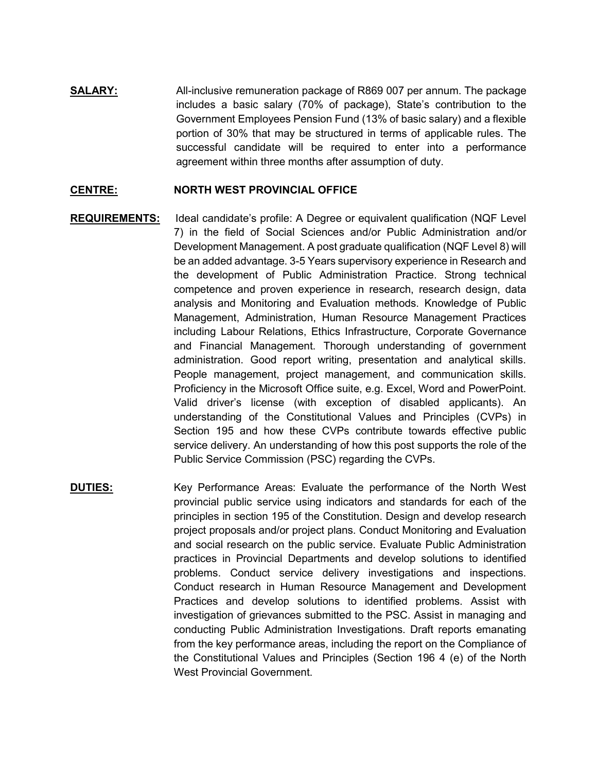**SALARY:** All-inclusive remuneration package of R869 007 per annum. The package includes a basic salary (70% of package), State's contribution to the Government Employees Pension Fund (13% of basic salary) and a flexible portion of 30% that may be structured in terms of applicable rules. The successful candidate will be required to enter into a performance agreement within three months after assumption of duty.

#### **CENTRE: NORTH WEST PROVINCIAL OFFICE**

- **REQUIREMENTS:** Ideal candidate's profile: A Degree or equivalent qualification (NQF Level 7) in the field of Social Sciences and/or Public Administration and/or Development Management. A post graduate qualification (NQF Level 8) will be an added advantage. 3-5 Years supervisory experience in Research and the development of Public Administration Practice. Strong technical competence and proven experience in research, research design, data analysis and Monitoring and Evaluation methods. Knowledge of Public Management, Administration, Human Resource Management Practices including Labour Relations, Ethics Infrastructure, Corporate Governance and Financial Management. Thorough understanding of government administration. Good report writing, presentation and analytical skills. People management, project management, and communication skills. Proficiency in the Microsoft Office suite, e.g. Excel, Word and PowerPoint. Valid driver's license (with exception of disabled applicants). An understanding of the Constitutional Values and Principles (CVPs) in Section 195 and how these CVPs contribute towards effective public service delivery. An understanding of how this post supports the role of the Public Service Commission (PSC) regarding the CVPs.
- **DUTIES:** Key Performance Areas: Evaluate the performance of the North West provincial public service using indicators and standards for each of the principles in section 195 of the Constitution. Design and develop research project proposals and/or project plans. Conduct Monitoring and Evaluation and social research on the public service. Evaluate Public Administration practices in Provincial Departments and develop solutions to identified problems. Conduct service delivery investigations and inspections. Conduct research in Human Resource Management and Development Practices and develop solutions to identified problems. Assist with investigation of grievances submitted to the PSC. Assist in managing and conducting Public Administration Investigations. Draft reports emanating from the key performance areas, including the report on the Compliance of the Constitutional Values and Principles (Section 196 4 (e) of the North West Provincial Government.